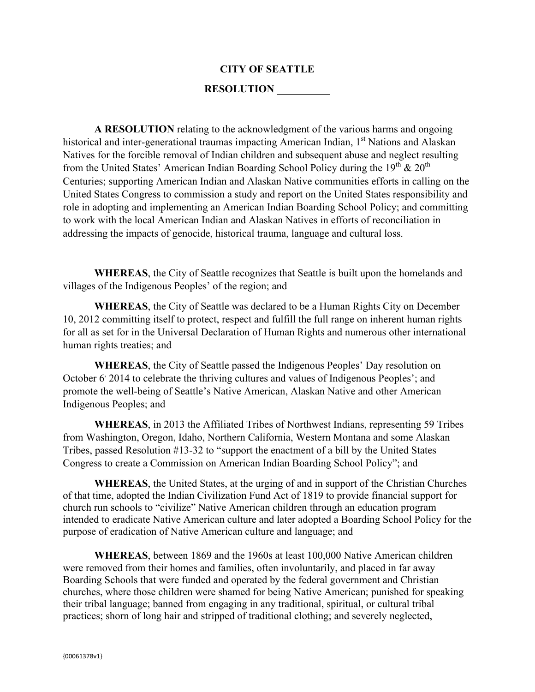## **CITY OF SEATTLE**

## **RESOLUTION**

**A RESOLUTION** relating to the acknowledgment of the various harms and ongoing historical and inter-generational traumas impacting American Indian, 1<sup>st</sup> Nations and Alaskan Natives for the forcible removal of Indian children and subsequent abuse and neglect resulting from the United States' American Indian Boarding School Policy during the  $19<sup>th</sup> \& 20<sup>th</sup>$ Centuries; supporting American Indian and Alaskan Native communities efforts in calling on the United States Congress to commission a study and report on the United States responsibility and role in adopting and implementing an American Indian Boarding School Policy; and committing to work with the local American Indian and Alaskan Natives in efforts of reconciliation in addressing the impacts of genocide, historical trauma, language and cultural loss.

**WHEREAS**, the City of Seattle recognizes that Seattle is built upon the homelands and villages of the Indigenous Peoples' of the region; and

**WHEREAS**, the City of Seattle was declared to be a Human Rights City on December 10, 2012 committing itself to protect, respect and fulfill the full range on inherent human rights for all as set for in the Universal Declaration of Human Rights and numerous other international human rights treaties; and

**WHEREAS**, the City of Seattle passed the Indigenous Peoples' Day resolution on October 6<sup>,</sup> 2014 to celebrate the thriving cultures and values of Indigenous Peoples'; and promote the well-being of Seattle's Native American, Alaskan Native and other American Indigenous Peoples; and

**WHEREAS**, in 2013 the Affiliated Tribes of Northwest Indians, representing 59 Tribes from Washington, Oregon, Idaho, Northern California, Western Montana and some Alaskan Tribes, passed Resolution #13-32 to "support the enactment of a bill by the United States Congress to create a Commission on American Indian Boarding School Policy"; and

**WHEREAS**, the United States, at the urging of and in support of the Christian Churches of that time, adopted the Indian Civilization Fund Act of 1819 to provide financial support for church run schools to "civilize" Native American children through an education program intended to eradicate Native American culture and later adopted a Boarding School Policy for the purpose of eradication of Native American culture and language; and

**WHEREAS**, between 1869 and the 1960s at least 100,000 Native American children were removed from their homes and families, often involuntarily, and placed in far away Boarding Schools that were funded and operated by the federal government and Christian churches, where those children were shamed for being Native American; punished for speaking their tribal language; banned from engaging in any traditional, spiritual, or cultural tribal practices; shorn of long hair and stripped of traditional clothing; and severely neglected,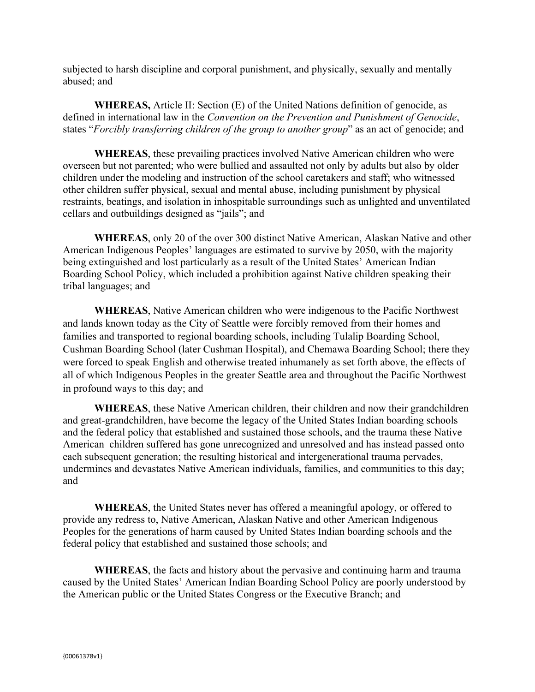subjected to harsh discipline and corporal punishment, and physically, sexually and mentally abused; and

**WHEREAS,** Article II: Section (E) of the United Nations definition of genocide, as defined in international law in the *Convention on the Prevention and Punishment of Genocide*, states "*Forcibly transferring children of the group to another group*" as an act of genocide; and

**WHEREAS**, these prevailing practices involved Native American children who were overseen but not parented; who were bullied and assaulted not only by adults but also by older children under the modeling and instruction of the school caretakers and staff; who witnessed other children suffer physical, sexual and mental abuse, including punishment by physical restraints, beatings, and isolation in inhospitable surroundings such as unlighted and unventilated cellars and outbuildings designed as "jails"; and

**WHEREAS**, only 20 of the over 300 distinct Native American, Alaskan Native and other American Indigenous Peoples' languages are estimated to survive by 2050, with the majority being extinguished and lost particularly as a result of the United States' American Indian Boarding School Policy, which included a prohibition against Native children speaking their tribal languages; and

**WHEREAS**, Native American children who were indigenous to the Pacific Northwest and lands known today as the City of Seattle were forcibly removed from their homes and families and transported to regional boarding schools, including Tulalip Boarding School, Cushman Boarding School (later Cushman Hospital), and Chemawa Boarding School; there they were forced to speak English and otherwise treated inhumanely as set forth above, the effects of all of which Indigenous Peoples in the greater Seattle area and throughout the Pacific Northwest in profound ways to this day; and

**WHEREAS**, these Native American children, their children and now their grandchildren and great-grandchildren, have become the legacy of the United States Indian boarding schools and the federal policy that established and sustained those schools, and the trauma these Native American children suffered has gone unrecognized and unresolved and has instead passed onto each subsequent generation; the resulting historical and intergenerational trauma pervades, undermines and devastates Native American individuals, families, and communities to this day; and

**WHEREAS**, the United States never has offered a meaningful apology, or offered to provide any redress to, Native American, Alaskan Native and other American Indigenous Peoples for the generations of harm caused by United States Indian boarding schools and the federal policy that established and sustained those schools; and

**WHEREAS**, the facts and history about the pervasive and continuing harm and trauma caused by the United States' American Indian Boarding School Policy are poorly understood by the American public or the United States Congress or the Executive Branch; and